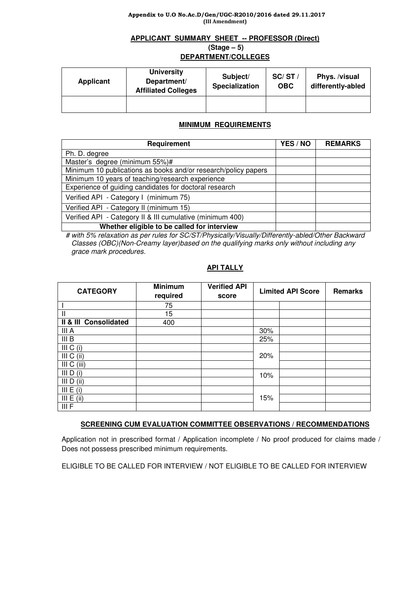#### Appendix to U.O No.Ac.D/Gen/UGC-R2010/2016 dated 29.11.2017 (III Amendment)

# **APPLICANT SUMMARY SHEET -- PROFESSOR (Direct) (Stage – 5) DEPARTMENT/COLLEGES**

#### **Applicant University Department/ Affiliated Colleges Subject/ Specialization SC/ ST / OBC Phys. /visual differently-abled**

# **MINIMUM REQUIREMENTS**

| Requirement                                                    | YES / NO | <b>REMARKS</b> |
|----------------------------------------------------------------|----------|----------------|
| Ph. D. degree                                                  |          |                |
| Master's degree (minimum 55%)#                                 |          |                |
| Minimum 10 publications as books and/or research/policy papers |          |                |
| Minimum 10 years of teaching/research experience               |          |                |
| Experience of guiding candidates for doctoral research         |          |                |
| Verified API - Category I (minimum 75)                         |          |                |
| Verified API - Category II (minimum 15)                        |          |                |
| Verified API - Category II & III cumulative (minimum 400)      |          |                |
| Whether eligible to be called for interview                    |          |                |

 # with 5% relaxation as per rules for SC/ST/Physically/Visually/Differently-abled/Other Backward Classes (OBC)(Non-Creamy layer)based on the qualifying marks only without including any grace mark procedures.

# **API TALLY**

| <b>CATEGORY</b>       | <b>Minimum</b><br>required | <b>Verified API</b><br>score | <b>Limited API Score</b> | <b>Remarks</b> |
|-----------------------|----------------------------|------------------------------|--------------------------|----------------|
|                       | 75                         |                              |                          |                |
| Ш                     | 15                         |                              |                          |                |
| Il & III Consolidated | 400                        |                              |                          |                |
| III A                 |                            |                              | 30%                      |                |
| III B                 |                            |                              | 25%                      |                |
| III C (i)             |                            |                              |                          |                |
| III C (ii)            |                            |                              | 20%                      |                |
| III C (iii)           |                            |                              |                          |                |
| III D (i)             |                            |                              | 10%                      |                |
| $III$ D (ii)          |                            |                              |                          |                |
| III E (i)             |                            |                              |                          |                |
| III E (ii)            |                            |                              | 15%                      |                |
| III F                 |                            |                              |                          |                |

# **SCREENING CUM EVALUATION COMMITTEE OBSERVATIONS / RECOMMENDATIONS**

Application not in prescribed format / Application incomplete / No proof produced for claims made / Does not possess prescribed minimum requirements.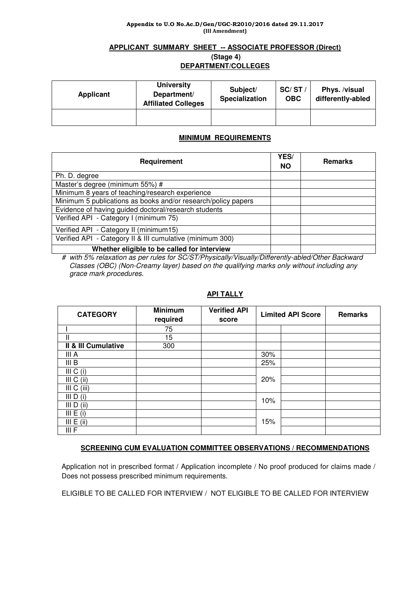#### Appendix to U.O No.Ac.D/Gen/UGC-R2010/2016 dated 29.11.2017 (III Amendment)

# **APPLICANT SUMMARY SHEET -- ASSOCIATE PROFESSOR (Direct) (Stage 4) DEPARTMENT/COLLEGES**

| Applicant | <b>University</b><br>Department/<br><b>Affiliated Colleges</b> | Subject/<br><b>Specialization</b> | SC/ST/<br><b>OBC</b> | Phys. /visual<br>differently-abled |
|-----------|----------------------------------------------------------------|-----------------------------------|----------------------|------------------------------------|
|           |                                                                |                                   |                      |                                    |

# **MINIMUM REQUIREMENTS**

| Requirement                                                   | YES/<br><b>NO</b> | <b>Remarks</b> |
|---------------------------------------------------------------|-------------------|----------------|
| Ph. D. degree                                                 |                   |                |
| Master's degree (minimum 55%) #                               |                   |                |
| Minimum 8 years of teaching/research experience               |                   |                |
| Minimum 5 publications as books and/or research/policy papers |                   |                |
| Evidence of having guided doctoral/research students          |                   |                |
| Verified API - Category I (minimum 75)                        |                   |                |
| Verified API - Category II (minimum15)                        |                   |                |
| Verified API - Category II & III cumulative (minimum 300)     |                   |                |
| Whether eligible to be called for interview                   |                   |                |

# with 5% relaxation as per rules for SC/ST/Physically/Visually/Differently-abled/Other Backward Classes (OBC) (Non-Creamy layer) based on the qualifying marks only without including any grace mark procedures.

# **API TALLY**

| <b>CATEGORY</b>     | <b>Minimum</b><br>required | <b>Verified API</b><br>score | <b>Limited API Score</b> | <b>Remarks</b> |
|---------------------|----------------------------|------------------------------|--------------------------|----------------|
|                     | 75                         |                              |                          |                |
| Ш                   | 15                         |                              |                          |                |
| Il & III Cumulative | 300                        |                              |                          |                |
| III A               |                            |                              | 30%                      |                |
| III B               |                            |                              | 25%                      |                |
| III C (i)           |                            |                              |                          |                |
| III C<br>(ii)       |                            |                              | 20%                      |                |
| III C (iii)         |                            |                              |                          |                |
| III $D(i)$          |                            |                              | 10%                      |                |
| $III$ D (ii)        |                            |                              |                          |                |
| III E (i)           |                            |                              |                          |                |
| III E (ii)          |                            |                              | 15%                      |                |
| III F               |                            |                              |                          |                |

# **SCREENING CUM EVALUATION COMMITTEE OBSERVATIONS / RECOMMENDATIONS**

Application not in prescribed format / Application incomplete / No proof produced for claims made / Does not possess prescribed minimum requirements.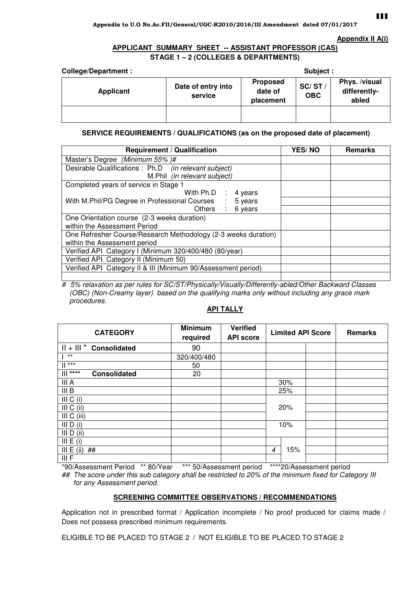#### **Appendix II A(i)**

# **APPLICANT SUMMARY SHEET -- ASSISTANT PROFESSOR (CAS) STAGE 1 – 2 (COLLEGES & DEPARTMENTS)**

| <b>College/Department:</b> | Subject :                     |                                                                |  |                                        |
|----------------------------|-------------------------------|----------------------------------------------------------------|--|----------------------------------------|
| Applicant                  | Date of entry into<br>service | <b>Proposed</b><br>SC/ST<br>date of<br><b>OBC</b><br>placement |  | Phys. /visual<br>differently-<br>abled |
|                            |                               |                                                                |  |                                        |

# **SERVICE REQUIREMENTS / QUALIFICATIONS (as on the proposed date of placement)**

| <b>Requirement / Qualification</b>                             | <b>YES/NO</b> | <b>Remarks</b> |
|----------------------------------------------------------------|---------------|----------------|
| Master's Degree (Minimum 55%)#                                 |               |                |
| Desirable Qualifications : Ph.D (in relevant subject)          |               |                |
| M.Phil (in relevant subject)                                   |               |                |
| Completed years of service in Stage 1                          |               |                |
| With Ph.D :<br>4 years                                         |               |                |
| With M.Phil/PG Degree in Professional Courses :<br>5 years     |               |                |
| Others : 6 years                                               |               |                |
| One Orientation course (2-3 weeks duration)                    |               |                |
| within the Assessment Period                                   |               |                |
| One Refresher Course/Research Methodology (2-3 weeks duration) |               |                |
| within the Assessment period                                   |               |                |
| Verified API Category I (Minimum 320/400/480 (80/year)         |               |                |
| Verified API Category II (Minimum 50)                          |               |                |
| Verified API Category II & III (Minimum 90/Assessment period)  |               |                |
|                                                                |               |                |

# 5% relaxation as per rules for SC/ST/Physically/Visually/Differently-abled/Other Backward Classes (OBC) (Non-Creamy layer) based on the qualifying marks only without including any grace mark procedures.

# **API TALLY**

| <b>CATEGORY</b>                      | <b>Minimum</b><br>required | <b>Verified</b><br><b>API score</b> |          | <b>Limited API Score</b> | <b>Remarks</b> |
|--------------------------------------|----------------------------|-------------------------------------|----------|--------------------------|----------------|
| $   +    $ <sup>*</sup> Consolidated | 90                         |                                     |          |                          |                |
| $***$                                | 320/400/480                |                                     |          |                          |                |
| $\mathbb{I}$ ***                     | 50                         |                                     |          |                          |                |
| $****$<br>Ш<br><b>Consolidated</b>   | 20                         |                                     |          |                          |                |
| III A                                |                            |                                     | 30%      |                          |                |
| III B                                |                            |                                     | 25%      |                          |                |
| III $C(i)$                           |                            |                                     |          |                          |                |
| III C (ii)                           |                            |                                     | 20%      |                          |                |
| III C (iii)                          |                            |                                     |          |                          |                |
| III D (i)                            |                            |                                     | 10%      |                          |                |
| III $D$ (ii)                         |                            |                                     |          |                          |                |
| III E (i)                            |                            |                                     |          |                          |                |
| III E (ii)<br>##                     |                            |                                     | 15%<br>4 |                          |                |
| III F                                |                            |                                     |          |                          |                |

\*90/Assessment Period \*\* 80/Year \*\*\* 50/Assessment period \*\*\*\*20/Assessment period

## The score under this sub category shall be restricted to 20% of the minimum fixed for Category III for any Assessment period.

# **SCREENING COMMITTEE OBSERVATIONS / RECOMMENDATIONS**

Application not in prescribed format / Application incomplete / No proof produced for claims made / Does not possess prescribed minimum requirements.

ELIGIBLE TO BE PLACED TO STAGE 2 / NOT ELIGIBLE TO BE PLACED TO STAGE 2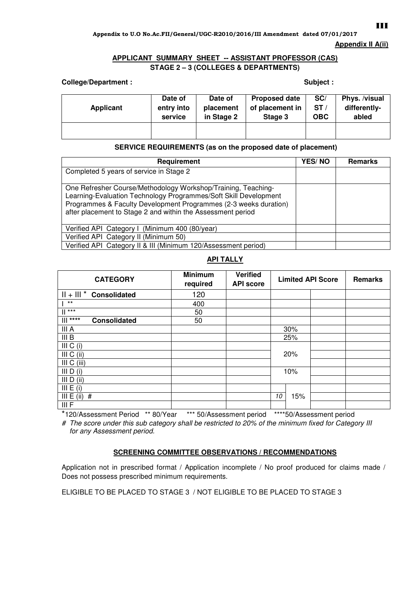### Appendix to U.O No.Ac.FII/General/UGC-R2010/2016/III Amendment dated 07/01/2017

### **Appendix II A(ii)**

# **APPLICANT SUMMARY SHEET -- ASSISTANT PROFESSOR (CAS) STAGE 2 – 3 (COLLEGES & DEPARTMENTS)**

# **College/Department :** Subject :

| Applicant | Date of    | Date of    | <b>Proposed date</b> | SC/        | Phys. /visual |
|-----------|------------|------------|----------------------|------------|---------------|
|           | entry into | placement  | of placement in      | ST/        | differently-  |
|           | service    | in Stage 2 | Stage 3              | <b>OBC</b> | abled         |
|           |            |            |                      |            |               |

# **SERVICE REQUIREMENTS (as on the proposed date of placement)**

| Requirement                                                                                                                                                                                                                                                          | <b>YES/NO</b> | <b>Remarks</b> |
|----------------------------------------------------------------------------------------------------------------------------------------------------------------------------------------------------------------------------------------------------------------------|---------------|----------------|
| Completed 5 years of service in Stage 2                                                                                                                                                                                                                              |               |                |
| One Refresher Course/Methodology Workshop/Training, Teaching-<br>Learning-Evaluation Technology Programmes/Soft Skill Development<br>Programmes & Faculty Development Programmes (2-3 weeks duration)<br>after placement to Stage 2 and within the Assessment period |               |                |
| Verified API Category I (Minimum 400 (80/year)                                                                                                                                                                                                                       |               |                |
| Verified API Category II (Minimum 50)                                                                                                                                                                                                                                |               |                |
| Verified API Category II & III (Minimum 120/Assessment period)                                                                                                                                                                                                       |               |                |

# **API TALLY**

| <b>CATEGORY</b>                   | <b>Minimum</b><br>required | <b>Verified</b><br><b>API score</b> |           | <b>Limited API Score</b> | Remarks |
|-----------------------------------|----------------------------|-------------------------------------|-----------|--------------------------|---------|
| $   +     *$ Consolidated         | 120                        |                                     |           |                          |         |
| $***$                             | 400                        |                                     |           |                          |         |
| $  $ ***                          | 50                         |                                     |           |                          |         |
| $   $ ****<br><b>Consolidated</b> | 50                         |                                     |           |                          |         |
| III A                             |                            |                                     | 30%       |                          |         |
| III B                             |                            |                                     | 25%       |                          |         |
| III C (i)                         |                            |                                     |           |                          |         |
| III C (ii)                        |                            |                                     | 20%       |                          |         |
| III C (iii)                       |                            |                                     |           |                          |         |
| III D (i)                         |                            |                                     | 10%       |                          |         |
| III D (ii)                        |                            |                                     |           |                          |         |
| III E (i)                         |                            |                                     |           |                          |         |
| III E (ii)<br>#                   |                            |                                     | 15%<br>10 |                          |         |
| III F                             |                            |                                     |           |                          |         |

\*120/Assessment Period \*\* 80/Year \*\*\* 50/Assessment period \*\*\*\*50/Assessment period

# The score under this sub category shall be restricted to 20% of the minimum fixed for Category III for any Assessment period.

# **SCREENING COMMITTEE OBSERVATIONS / RECOMMENDATIONS**

Application not in prescribed format / Application incomplete / No proof produced for claims made / Does not possess prescribed minimum requirements.

ELIGIBLE TO BE PLACED TO STAGE 3 / NOT ELIGIBLE TO BE PLACED TO STAGE 3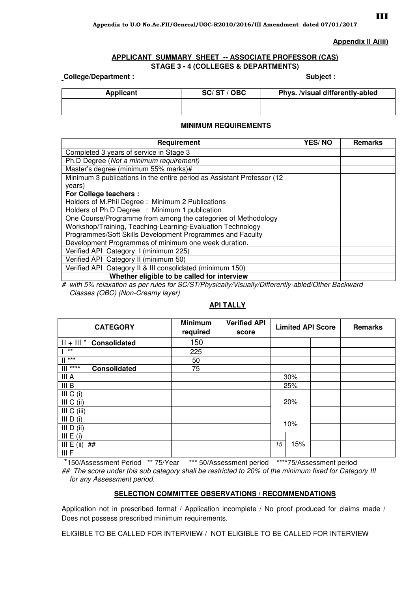### **Appendix II A(iii)**

# **APPLICANT SUMMARY SHEET -- ASSOCIATE PROFESSOR (CAS)**

**STAGE 3 - 4 (COLLEGES & DEPARTMENTS)** 

**College/Department :**  $\qquad \qquad$  **Subject :**  $\qquad \qquad$  Subject :

| <b>Applicant</b> | SC/ST/OBC | Phys. /visual differently-abled |
|------------------|-----------|---------------------------------|
|                  |           |                                 |

## **MINIMUM REQUIREMENTS**

| Requirement                                                            | YES/NO | <b>Remarks</b> |
|------------------------------------------------------------------------|--------|----------------|
| Completed 3 years of service in Stage 3                                |        |                |
| Ph.D Degree (Not a minimum requirement)                                |        |                |
| Master's degree (minimum 55% marks)#                                   |        |                |
| Minimum 3 publications in the entire period as Assistant Professor (12 |        |                |
| years)                                                                 |        |                |
| For College teachers :                                                 |        |                |
| Holders of M.Phil Degree: Minimum 2 Publications                       |        |                |
| Holders of Ph.D Degree : Minimum 1 publication                         |        |                |
| One Course/Programme from among the categories of Methodology          |        |                |
| Workshop/Training, Teaching-Learning-Evaluation Technology             |        |                |
| Programmes/Soft Skills Development Programmes and Faculty              |        |                |
| Development Programmes of minimum one week duration.                   |        |                |
| Verified API Category I (minimum 225)                                  |        |                |
| Verified API Category II (minimum 50)                                  |        |                |
| Verified API Category II & III consolidated (minimum 150)              |        |                |
| Whether eligible to be called for interview                            |        |                |

# with 5% relaxation as per rules for SC/ST/Physically/Visually/Differently-abled/Other Backward Classes (OBC) (Non-Creamy layer)

# **API TALLY**

| <b>CATEGORY</b>                   | <b>Minimum</b><br>required | <b>Verified API</b><br>score | <b>Limited API Score</b> |     | Remarks |
|-----------------------------------|----------------------------|------------------------------|--------------------------|-----|---------|
| $   +    $ * Consolidated         | 150                        |                              |                          |     |         |
| $***$                             | 225                        |                              |                          |     |         |
| $***$                             | 50                         |                              |                          |     |         |
| $   $ ****<br><b>Consolidated</b> | 75                         |                              |                          |     |         |
| III A                             |                            |                              |                          | 30% |         |
| III B                             |                            |                              |                          | 25% |         |
| III C (i)                         |                            |                              |                          |     |         |
| III C (ii)                        |                            |                              | 20%                      |     |         |
| III C (iii)                       |                            |                              |                          |     |         |
| III $D(i)$                        |                            |                              | 10%                      |     |         |
| III D (ii)                        |                            |                              |                          |     |         |
| III E (i)                         |                            |                              |                          |     |         |
| III E (ii)<br>##                  |                            |                              | 15                       | 15% |         |
| III F                             |                            |                              |                          |     |         |

 \*150/Assessment Period \*\* 75/Year \*\*\* 50/Assessment period \*\*\*\*75/Assessment period ## The score under this sub category shall be restricted to 20% of the minimum fixed for Category III for any Assessment period.

# **SELECTION COMMITTEE OBSERVATIONS / RECOMMENDATIONS**

Application not in prescribed format / Application incomplete / No proof produced for claims made / Does not possess prescribed minimum requirements.